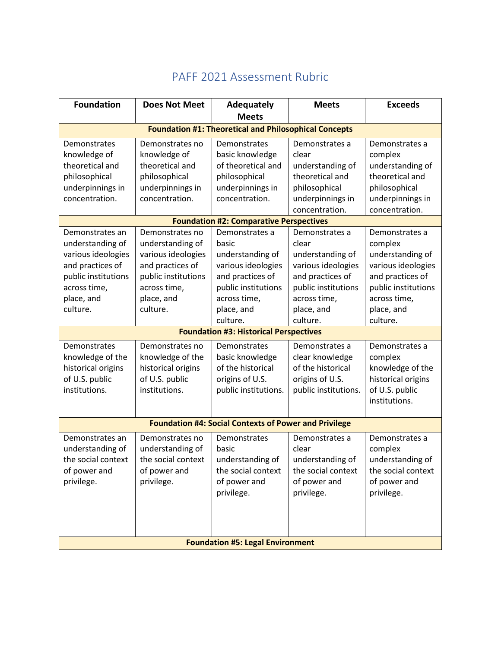| <b>Foundation</b>                                            | <b>Does Not Meet</b>                | <b>Adequately</b>               | <b>Meets</b>            | <b>Exceeds</b>            |  |  |
|--------------------------------------------------------------|-------------------------------------|---------------------------------|-------------------------|---------------------------|--|--|
|                                                              |                                     | <b>Meets</b>                    |                         |                           |  |  |
| <b>Foundation #1: Theoretical and Philosophical Concepts</b> |                                     |                                 |                         |                           |  |  |
| Demonstrates<br>knowledge of                                 | Demonstrates no<br>knowledge of     | Demonstrates<br>basic knowledge | Demonstrates a<br>clear | Demonstrates a<br>complex |  |  |
| theoretical and                                              | theoretical and                     | of theoretical and              | understanding of        | understanding of          |  |  |
| philosophical                                                | philosophical                       | philosophical                   | theoretical and         | theoretical and           |  |  |
| underpinnings in                                             | underpinnings in                    | underpinnings in                | philosophical           | philosophical             |  |  |
| concentration.                                               | concentration.                      | concentration.                  | underpinnings in        | underpinnings in          |  |  |
|                                                              |                                     |                                 | concentration.          | concentration.            |  |  |
| <b>Foundation #2: Comparative Perspectives</b>               |                                     |                                 |                         |                           |  |  |
| Demonstrates an<br>understanding of                          | Demonstrates no<br>understanding of | Demonstrates a<br>basic         | Demonstrates a<br>clear | Demonstrates a<br>complex |  |  |
| various ideologies                                           | various ideologies                  | understanding of                | understanding of        | understanding of          |  |  |
| and practices of                                             | and practices of                    | various ideologies              | various ideologies      | various ideologies        |  |  |
| public institutions                                          | public institutions                 | and practices of                | and practices of        | and practices of          |  |  |
| across time,                                                 | across time,                        | public institutions             | public institutions     | public institutions       |  |  |
| place, and                                                   | place, and                          | across time,                    | across time,            | across time,              |  |  |
| culture.                                                     | culture.                            | place, and                      | place, and              | place, and                |  |  |
|                                                              |                                     | culture.                        | culture.                | culture.                  |  |  |
| <b>Foundation #3: Historical Perspectives</b>                |                                     |                                 |                         |                           |  |  |
| Demonstrates                                                 | Demonstrates no                     | Demonstrates                    | Demonstrates a          | Demonstrates a            |  |  |
| knowledge of the                                             | knowledge of the                    | basic knowledge                 | clear knowledge         | complex                   |  |  |
| historical origins                                           | historical origins                  | of the historical               | of the historical       | knowledge of the          |  |  |
| of U.S. public                                               | of U.S. public                      | origins of U.S.                 | origins of U.S.         | historical origins        |  |  |
| institutions.                                                | institutions.                       | public institutions.            | public institutions.    | of U.S. public            |  |  |
|                                                              |                                     |                                 |                         | institutions.             |  |  |
| <b>Foundation #4: Social Contexts of Power and Privilege</b> |                                     |                                 |                         |                           |  |  |
| Demonstrates an                                              | Demonstrates no                     | Demonstrates                    | Demonstrates a          | Demonstrates a            |  |  |
| understanding of                                             | understanding of                    | basic                           | clear                   | complex                   |  |  |
| the social context                                           | the social context                  | understanding of                | understanding of        | understanding of          |  |  |
| of power and                                                 | of power and                        | the social context              | the social context      | the social context        |  |  |
| privilege.                                                   | privilege.                          | of power and                    | of power and            | of power and              |  |  |
|                                                              |                                     | privilege.                      | privilege.              | privilege.                |  |  |
|                                                              |                                     |                                 |                         |                           |  |  |
|                                                              |                                     |                                 |                         |                           |  |  |
|                                                              |                                     |                                 |                         |                           |  |  |
| <b>Foundation #5: Legal Environment</b>                      |                                     |                                 |                         |                           |  |  |

## PAFF 2021 Assessment Rubric